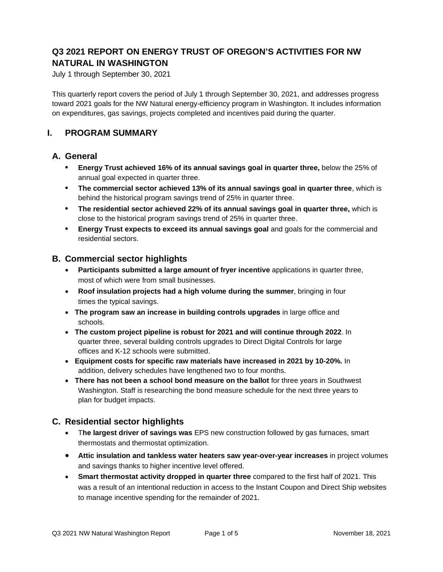# **Q3 2021 REPORT ON ENERGY TRUST OF OREGON'S ACTIVITIES FOR NW NATURAL IN WASHINGTON**

July 1 through September 30, 2021

This quarterly report covers the period of July 1 through September 30, 2021, and addresses progress toward 2021 goals for the NW Natural energy-efficiency program in Washington. It includes information on expenditures, gas savings, projects completed and incentives paid during the quarter.

#### **I. PROGRAM SUMMARY**

#### **A. General**

- **• Energy Trust achieved 16% of its annual savings goal in quarter three,** below the 25% of annual goal expected in quarter three.
- **• The commercial sector achieved 13% of its annual savings goal in quarter three**, which is behind the historical program savings trend of 25% in quarter three.
- **• The residential sector achieved 22% of its annual savings goal in quarter three,** which is close to the historical program savings trend of 25% in quarter three.
- **• Energy Trust expects to exceed its annual savings goal** and goals for the commercial and residential sectors.

#### **B. Commercial sector highlights**

- **Participants submitted a large amount of fryer incentive** applications in quarter three, most of which were from small businesses.
- **Roof insulation projects had a high volume during the summer**, bringing in four times the typical savings.
- **The program saw an increase in building controls upgrades** in large office and schools.
- **The custom project pipeline is robust for 2021 and will continue through 2022**. In quarter three, several building controls upgrades to Direct Digital Controls for large offices and K-12 schools were submitted.
- **Equipment costs for specific raw materials have increased in 2021 by 10-20%.** In addition, delivery schedules have lengthened two to four months.
- **There has not been a school bond measure on the ballot** for three years in Southwest Washington. Staff is researching the bond measure schedule for the next three years to plan for budget impacts.

#### **C. Residential sector highlights**

- T**he largest driver of savings was** EPS new construction followed by gas furnaces, smart thermostats and thermostat optimization.
- **Attic insulation and tankless water heaters saw year-over-year increases** in project volumes and savings thanks to higher incentive level offered.
- **Smart thermostat activity dropped in quarter three** compared to the first half of 2021. This was a result of an intentional reduction in access to the Instant Coupon and Direct Ship websites to manage incentive spending for the remainder of 2021.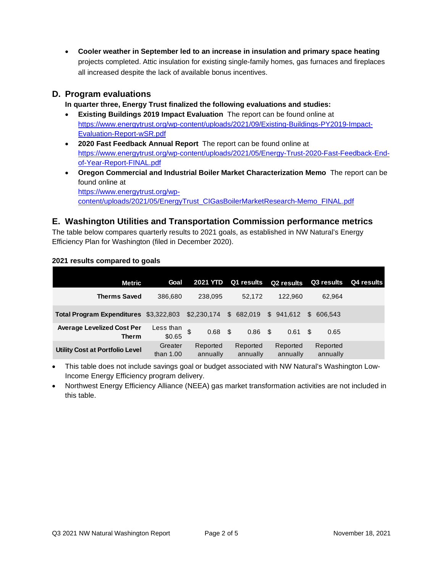• **Cooler weather in September led to an increase in insulation and primary space heating** projects completed. Attic insulation for existing single-family homes, gas furnaces and fireplaces all increased despite the lack of available bonus incentives.

#### **D. Program evaluations**

**In quarter three, Energy Trust finalized the following evaluations and studies:**

- **Existing Buildings 2019 Impact Evaluation** The report can be found online at [https://www.energytrust.org/wp-content/uploads/2021/09/Existing-Buildings-PY2019-Impact-](https://www.energytrust.org/wp-content/uploads/2021/09/Existing-Buildings-PY2019-Impact-Evaluation-Report-wSR.pdf)[Evaluation-Report-wSR.pdf](https://www.energytrust.org/wp-content/uploads/2021/09/Existing-Buildings-PY2019-Impact-Evaluation-Report-wSR.pdf)
- **2020 Fast Feedback Annual Report** The report can be found online at [https://www.energytrust.org/wp-content/uploads/2021/05/Energy-Trust-2020-Fast-Feedback-End](https://www.energytrust.org/wp-content/uploads/2021/05/Energy-Trust-2020-Fast-Feedback-End-of-Year-Report-FINAL.pdf)[of-Year-Report-FINAL.pdf](https://www.energytrust.org/wp-content/uploads/2021/05/Energy-Trust-2020-Fast-Feedback-End-of-Year-Report-FINAL.pdf)
- **Oregon Commercial and Industrial Boiler Market Characterization Memo** The report can be found online at [https://www.energytrust.org/wp](https://www.energytrust.org/wp-content/uploads/2021/05/EnergyTrust_CIGasBoilerMarketResearch-Memo_FINAL.pdf)[content/uploads/2021/05/EnergyTrust\\_CIGasBoilerMarketResearch-Memo\\_FINAL.pdf](https://www.energytrust.org/wp-content/uploads/2021/05/EnergyTrust_CIGasBoilerMarketResearch-Memo_FINAL.pdf)

### **E. Washington Utilities and Transportation Commission performance metrics**

The table below compares quarterly results to 2021 goals, as established in NW Natural's Energy Efficiency Plan for Washington (filed in December 2020).

| Metric                                            | Goal                   | <b>2021 YTD</b>      | Q1 results           | Q <sub>2</sub> results | Q3 results               | Q4 results |
|---------------------------------------------------|------------------------|----------------------|----------------------|------------------------|--------------------------|------------|
| <b>Therms Saved</b>                               | 386.680                | 238.095              | 52.172               | 122.960                | 62.964                   |            |
| Total Program Expenditures \$3,322,803            |                        | \$2,230,174          | \$<br>682,019        | S.<br>941.612          | <sup>\$</sup><br>606.543 |            |
| <b>Average Levelized Cost Per</b><br><b>Therm</b> | Less than<br>\$0.65    | 0.68                 | $0.86$ \$<br>- \$    | 0.61                   | - \$<br>0.65             |            |
| Utility Cost at Portfolio Level                   | Greater<br>than $1.00$ | Reported<br>annually | Reported<br>annually | Reported<br>annually   | Reported<br>annually     |            |

#### **2021 results compared to goals**

- This table does not include savings goal or budget associated with NW Natural's Washington Low-Income Energy Efficiency program delivery.
- Northwest Energy Efficiency Alliance (NEEA) gas market transformation activities are not included in this table.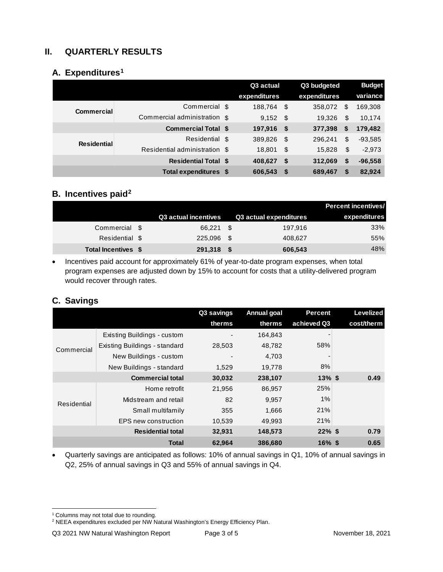# **II. QUARTERLY RESULTS**

# **A. Expenditures[1](#page-2-0)**

|                    |                               |  | Q3 actual    |     | Q3 budgeted  |    | <b>Budget</b> |  |
|--------------------|-------------------------------|--|--------------|-----|--------------|----|---------------|--|
|                    |                               |  | expenditures |     | expenditures |    | variance      |  |
| <b>Commercial</b>  | Commercial \$                 |  | 188,764      | -\$ | 358,072      | \$ | 169,308       |  |
|                    | Commercial administration \$  |  | 9,152        | -\$ | 19,326       | \$ | 10,174        |  |
|                    | <b>Commercial Total \$</b>    |  | 197,916      | -\$ | 377,398      | \$ | 179,482       |  |
| <b>Residential</b> | Residential \$                |  | 389,826      | \$  | 296,241      | \$ | $-93,585$     |  |
|                    | Residential administration \$ |  | 18,801       | \$  | 15,828       | \$ | $-2,973$      |  |
|                    | <b>Residential Total \$</b>   |  | 408,627      | \$  | 312,069      | \$ | $-96,558$     |  |
|                    | Total expenditures \$         |  | 606,543      | \$  | 689,467      | \$ | 82,924        |  |

### **B. Incentives paid[2](#page-2-1)**

|                     |                      |      |                        | <b>Percent incentives/</b> |
|---------------------|----------------------|------|------------------------|----------------------------|
|                     | Q3 actual incentives |      | Q3 actual expenditures | expenditures               |
| Commercial \$       | 66.221               | - SS | 197,916                | 33%                        |
| Residential \$      | 225.096              | - \$ | 408.627                | 55%                        |
| Total Incentives \$ | 291,318              | - \$ | 606,543                | 48%                        |

• Incentives paid account for approximately 61% of year-to-date program expenses, when total program expenses are adjusted down by 15% to account for costs that a utility-delivered program would recover through rates.

#### **C. Savings**

|             |                               | Q3 savings | Annual goal | <b>Percent</b> | Levelized  |
|-------------|-------------------------------|------------|-------------|----------------|------------|
|             |                               | therms     | therms      | achieved Q3    | cost/therm |
|             | Existing Buildings - custom   |            | 164,843     |                |            |
| Commercial  | Existing Buildings - standard | 28,503     | 48,782      | 58%            |            |
|             | New Buildings - custom        |            | 4,703       |                |            |
|             | New Buildings - standard      | 1,529      | 19,778      | 8%             |            |
|             | <b>Commercial total</b>       | 30,032     | 238,107     | $13\%$ \$      | 0.49       |
|             | Home retrofit                 | 21,956     | 86,957      | 25%            |            |
| Residential | Midstream and retail          | 82         | 9,957       | 1%             |            |
|             | Small multifamily             | 355        | 1,666       | 21%            |            |
|             | EPS new construction          | 10,539     | 49,993      | 21%            |            |
|             | <b>Residential total</b>      | 32,931     | 148,573     | $22\%$ \$      | 0.79       |
|             | <b>Total</b>                  | 62,964     | 386,680     | $16\%$ \$      | 0.65       |

• Quarterly savings are anticipated as follows: 10% of annual savings in Q1, 10% of annual savings in Q2, 25% of annual savings in Q3 and 55% of annual savings in Q4.

<span id="page-2-0"></span><sup>&</sup>lt;sup>1</sup> Columns may not total due to rounding.

<span id="page-2-1"></span><sup>&</sup>lt;sup>2</sup> NEEA expenditures excluded per NW Natural Washington's Energy Efficiency Plan.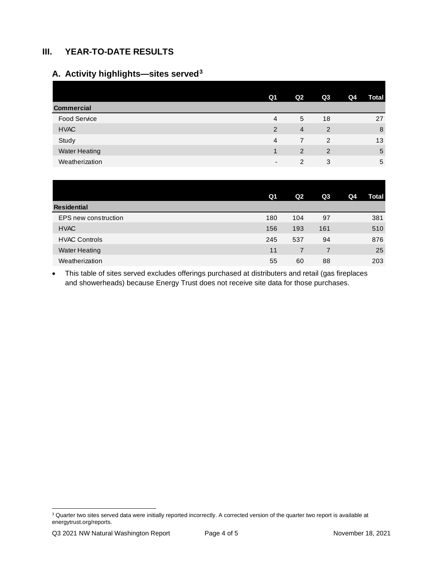# **III. YEAR-TO-DATE RESULTS**

# **A. Activity highlights—sites served[3](#page-3-0)**

| Q1             | Q2             | Q3 | Q4<br><b>Total</b> |
|----------------|----------------|----|--------------------|
|                |                |    |                    |
| $\overline{4}$ | 5              | 18 | 27                 |
| $\overline{2}$ | $\overline{4}$ | 2  | 8                  |
| $\overline{4}$ | 7              | 2  | 13                 |
|                | 2              | 2  | 5                  |
| ٠              | 2              | 3  | 5                  |
|                |                |    |                    |

|                      | Q1  | Q <sub>2</sub> | Q3  | Q4 | Total |
|----------------------|-----|----------------|-----|----|-------|
| <b>Residential</b>   |     |                |     |    |       |
| EPS new construction | 180 | 104            | 97  |    | 381   |
| <b>HVAC</b>          | 156 | 193            | 161 |    | 510   |
| <b>HVAC Controls</b> | 245 | 537            | 94  |    | 876   |
| <b>Water Heating</b> | 11  | 7              | 7   |    | 25    |
| Weatherization       | 55  | 60             | 88  |    | 203   |

• This table of sites served excludes offerings purchased at distributers and retail (gas fireplaces and showerheads) because Energy Trust does not receive site data for those purchases.

<span id="page-3-0"></span> $^3$  Quarter two sites served data were initially reported incorrectly. A corrected version of the quarter two report is available at energytrust.org/reports.